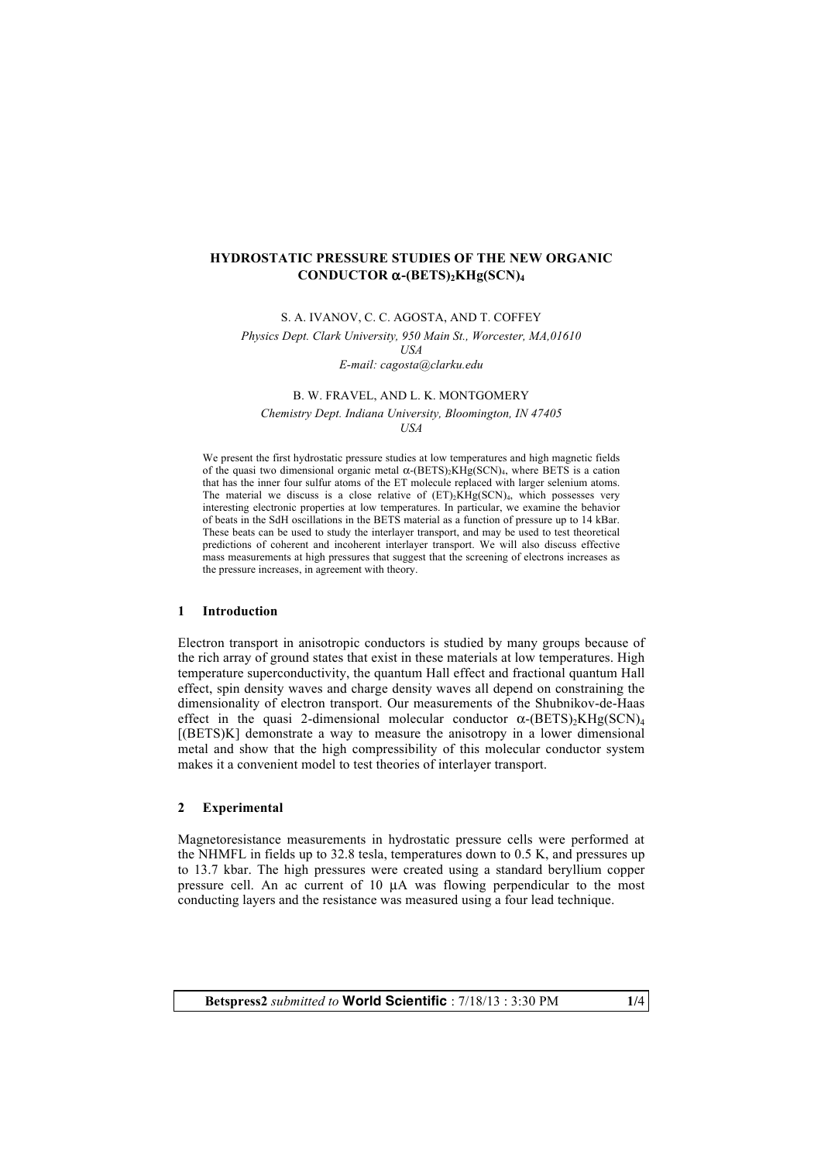## **HYDROSTATIC PRESSURE STUDIES OF THE NEW ORGANIC CONDUCTOR** α**-(BETS)2KHg(SCN)4**

S. A. IVANOV, C. C. AGOSTA, AND T. COFFEY

*Physics Dept. Clark University, 950 Main St., Worcester, MA,01610* 

*USA*

*E-mail: cagosta@clarku.edu*

B. W. FRAVEL, AND L. K. MONTGOMERY

*Chemistry Dept. Indiana University, Bloomington, IN 47405 USA*

We present the first hydrostatic pressure studies at low temperatures and high magnetic fields of the quasi two dimensional organic metal  $\alpha$ -(BETS)<sub>2</sub>KHg(SCN)<sub>4</sub>, where BETS is a cation that has the inner four sulfur atoms of the ET molecule replaced with larger selenium atoms. The material we discuss is a close relative of  $(ET)_2KHg(SCN)_4$ , which possesses very interesting electronic properties at low temperatures. In particular, we examine the behavior of beats in the SdH oscillations in the BETS material as a function of pressure up to 14 kBar. These beats can be used to study the interlayer transport, and may be used to test theoretical predictions of coherent and incoherent interlayer transport. We will also discuss effective mass measurements at high pressures that suggest that the screening of electrons increases as the pressure increases, in agreement with theory.

# **1 Introduction**

Electron transport in anisotropic conductors is studied by many groups because of the rich array of ground states that exist in these materials at low temperatures. High temperature superconductivity, the quantum Hall effect and fractional quantum Hall effect, spin density waves and charge density waves all depend on constraining the dimensionality of electron transport. Our measurements of the Shubnikov-de-Haas effect in the quasi 2-dimensional molecular conductor  $\alpha$ -(BETS)<sub>2</sub>KHg(SCN)<sub>4</sub> [(BETS)K] demonstrate a way to measure the anisotropy in a lower dimensional metal and show that the high compressibility of this molecular conductor system makes it a convenient model to test theories of interlayer transport.

## **2 Experimental**

Magnetoresistance measurements in hydrostatic pressure cells were performed at the NHMFL in fields up to 32.8 tesla, temperatures down to 0.5 K, and pressures up to 13.7 kbar. The high pressures were created using a standard beryllium copper pressure cell. An ac current of 10 µA was flowing perpendicular to the most conducting layers and the resistance was measured using a four lead technique.

**Betspress2** *submitted to* **World Scientific** : 7/18/13 : 3:30 PM **1/**4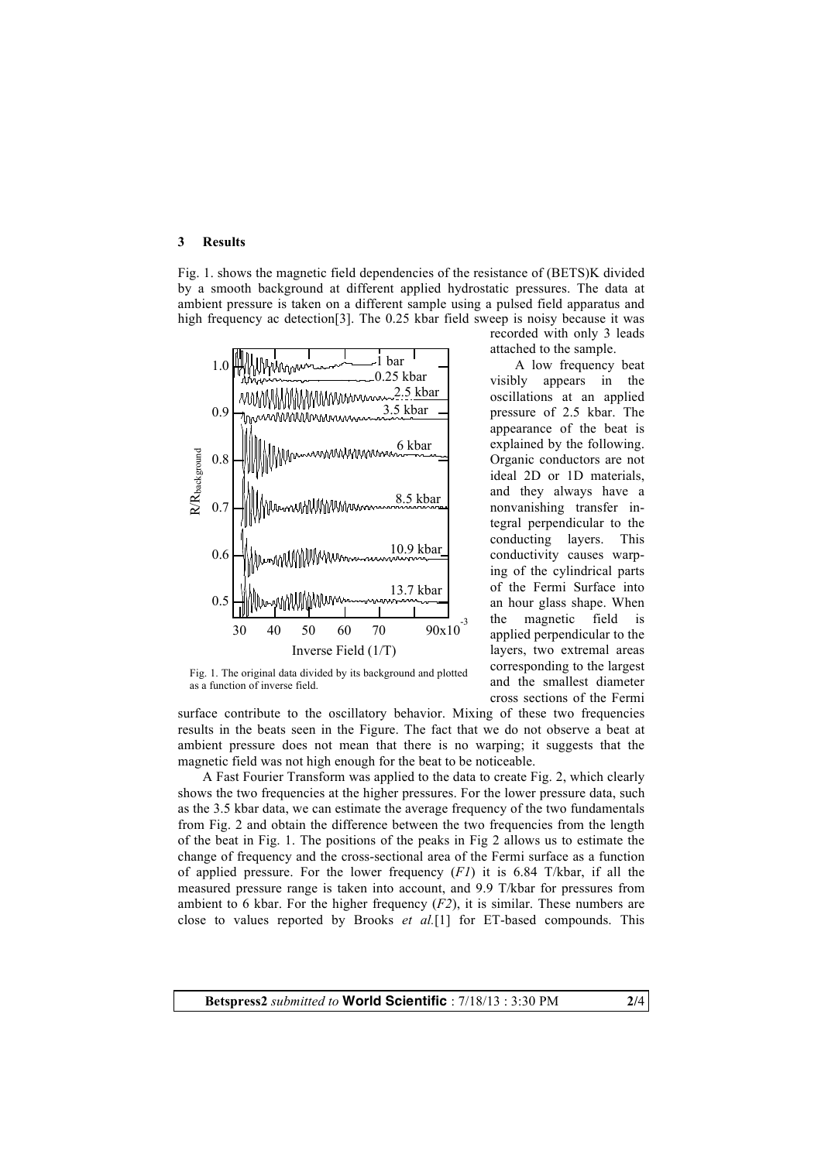#### **3 Results**

Fig. 1. shows the magnetic field dependencies of the resistance of (BETS)K divided by a smooth background at different applied hydrostatic pressures. The data at ambient pressure is taken on a different sample using a pulsed field apparatus and high frequency ac detection[3]. The 0.25 kbar field sweep is noisy because it was



Fig. 1. The original data divided by its background and plotted as a function of inverse field.

recorded with only 3 leads attached to the sample.

A low frequency beat visibly appears in the oscillations at an applied pressure of 2.5 kbar. The appearance of the beat is explained by the following. Organic conductors are not ideal 2D or 1D materials, and they always have a nonvanishing transfer integral perpendicular to the conducting layers. This conductivity causes warping of the cylindrical parts of the Fermi Surface into an hour glass shape. When the magnetic field is applied perpendicular to the layers, two extremal areas corresponding to the largest and the smallest diameter cross sections of the Fermi

surface contribute to the oscillatory behavior. Mixing of these two frequencies results in the beats seen in the Figure. The fact that we do not observe a beat at ambient pressure does not mean that there is no warping; it suggests that the magnetic field was not high enough for the beat to be noticeable.

A Fast Fourier Transform was applied to the data to create Fig. 2, which clearly shows the two frequencies at the higher pressures. For the lower pressure data, such as the 3.5 kbar data, we can estimate the average frequency of the two fundamentals from Fig. 2 and obtain the difference between the two frequencies from the length of the beat in Fig. 1. The positions of the peaks in Fig 2 allows us to estimate the change of frequency and the cross-sectional area of the Fermi surface as a function of applied pressure. For the lower frequency (*F1*) it is 6.84 T/kbar, if all the measured pressure range is taken into account, and 9.9 T/kbar for pressures from ambient to 6 kbar. For the higher frequency (*F2*), it is similar. These numbers are close to values reported by Brooks *et al.*[1] for ET-based compounds. This

**Betspress2** *submitted to* **World Scientific** : 7/18/13 : 3:30 PM **2/**4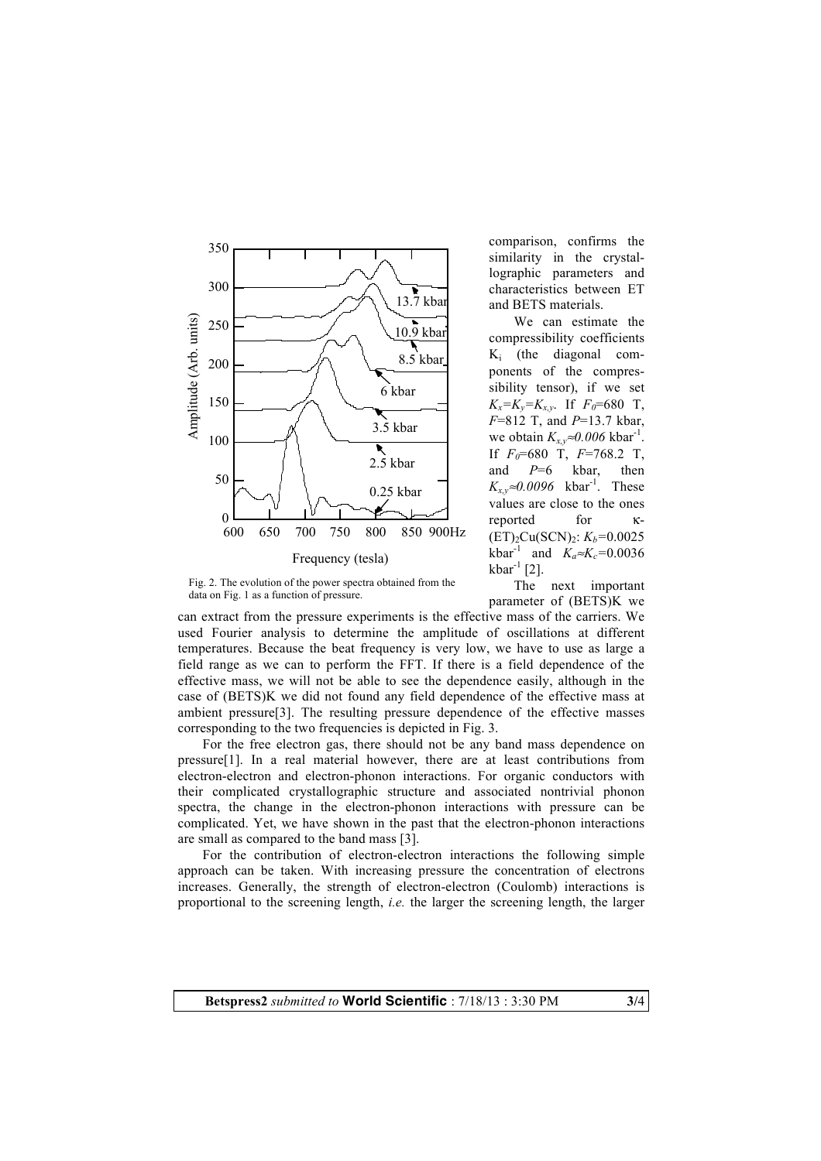

Fig. 2. The evolution of the power spectra obtained from the data on Fig. 1 as a function of pressure.

comparison, confirms the similarity in the crystallographic parameters and characteristics between ET and BETS materials.

We can estimate the compressibility coefficients Ki (the diagonal components of the compressibility tensor), if we set  $K_x = K_y = K_{x,y}$ . If  $F_0 = 680$  T, *F*=812 T, and *P*=13.7 kbar, we obtain  $K_{x,y} \approx 0.006 \text{ kbar}^{-1}$ . If  $F_0$ =680 T,  $F$ =768.2 T, and *P*=6 kbar, then  $K_{x,y}$ ≈0.0096 kbar<sup>-1</sup>. These values are close to the ones reported for κ-  $(ET)_{2}Cu(SCN)_{2}$ :  $K_{h}=0.0025$ kbar<sup>-1</sup> and  $K_a \approx K_c = 0.0036$ kbar<sup>-1</sup> [2].

The next important parameter of (BETS)K we

can extract from the pressure experiments is the effective mass of the carriers. We used Fourier analysis to determine the amplitude of oscillations at different temperatures. Because the beat frequency is very low, we have to use as large a field range as we can to perform the FFT. If there is a field dependence of the effective mass, we will not be able to see the dependence easily, although in the case of (BETS)K we did not found any field dependence of the effective mass at ambient pressure[3]. The resulting pressure dependence of the effective masses corresponding to the two frequencies is depicted in Fig. 3.

For the free electron gas, there should not be any band mass dependence on pressure[1]. In a real material however, there are at least contributions from electron-electron and electron-phonon interactions. For organic conductors with their complicated crystallographic structure and associated nontrivial phonon spectra, the change in the electron-phonon interactions with pressure can be complicated. Yet, we have shown in the past that the electron-phonon interactions are small as compared to the band mass [3].

For the contribution of electron-electron interactions the following simple approach can be taken. With increasing pressure the concentration of electrons increases. Generally, the strength of electron-electron (Coulomb) interactions is proportional to the screening length, *i.e.* the larger the screening length, the larger

**Betspress2** *submitted to* **World Scientific** : 7/18/13 : 3:30 PM **3/**4